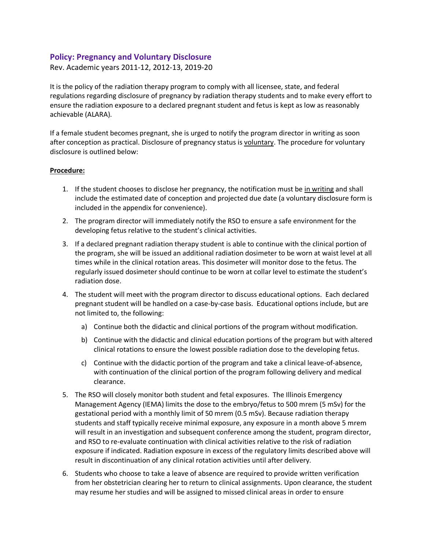## **Policy: Pregnancy and Voluntary Disclosure**

### Rev. Academic years 2011-12, 2012-13, 2019-20

It is the policy of the radiation therapy program to comply with all licensee, state, and federal regulations regarding disclosure of pregnancy by radiation therapy students and to make every effort to ensure the radiation exposure to a declared pregnant student and fetus is kept as low as reasonably achievable (ALARA).

If a female student becomes pregnant, she is urged to notify the program director in writing as soon after conception as practical. Disclosure of pregnancy status is voluntary. The procedure for voluntary disclosure is outlined below:

#### **Procedure:**

- 1. If the student chooses to disclose her pregnancy, the notification must be in writing and shall include the estimated date of conception and projected due date (a voluntary disclosure form is included in the appendix for convenience).
- 2. The program director will immediately notify the RSO to ensure a safe environment for the developing fetus relative to the student's clinical activities.
- 3. If a declared pregnant radiation therapy student is able to continue with the clinical portion of the program, she will be issued an additional radiation dosimeter to be worn at waist level at all times while in the clinical rotation areas. This dosimeter will monitor dose to the fetus. The regularly issued dosimeter should continue to be worn at collar level to estimate the student's radiation dose.
- 4. The student will meet with the program director to discuss educational options. Each declared pregnant student will be handled on a case-by-case basis. Educational options include, but are not limited to, the following:
	- a) Continue both the didactic and clinical portions of the program without modification.
	- b) Continue with the didactic and clinical education portions of the program but with altered clinical rotations to ensure the lowest possible radiation dose to the developing fetus.
	- c) Continue with the didactic portion of the program and take a clinical leave-of-absence, with continuation of the clinical portion of the program following delivery and medical clearance.
- 5. The RSO will closely monitor both student and fetal exposures. The Illinois Emergency Management Agency (IEMA) limits the dose to the embryo/fetus to 500 mrem (5 mSv) for the gestational period with a monthly limit of 50 mrem (0.5 mSv). Because radiation therapy students and staff typically receive minimal exposure, any exposure in a month above 5 mrem will result in an investigation and subsequent conference among the student, program director, and RSO to re-evaluate continuation with clinical activities relative to the risk of radiation exposure if indicated. Radiation exposure in excess of the regulatory limits described above will result in discontinuation of any clinical rotation activities until after delivery.
- 6. Students who choose to take a leave of absence are required to provide written verification from her obstetrician clearing her to return to clinical assignments. Upon clearance, the student may resume her studies and will be assigned to missed clinical areas in order to ensure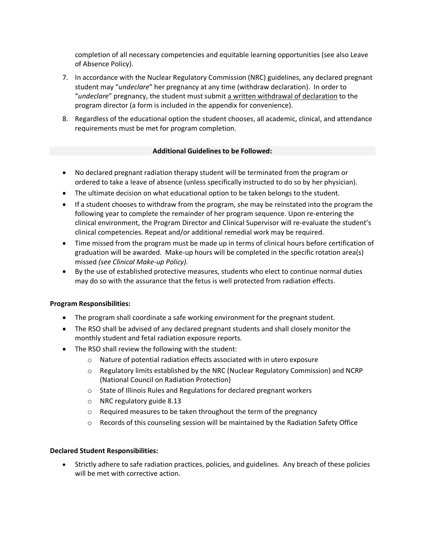completion of all necessary competencies and equitable learning opportunities (see also Leave of Absence Policy).

- 7. In accordance with the Nuclear Regulatory Commission (NRC) guidelines, any declared pregnant student may "*undeclare*" her pregnancy at any time (withdraw declaration). In order to "*undeclare*" pregnancy, the student must submit a written withdrawal of declaration to the program director (a form is included in the appendix for convenience).
- 8. Regardless of the educational option the student chooses, all academic, clinical, and attendance requirements must be met for program completion.

### **Additional Guidelines to be Followed:**

- No declared pregnant radiation therapy student will be terminated from the program or ordered to take a leave of absence (unless specifically instructed to do so by her physician).
- The ultimate decision on what educational option to be taken belongs to the student.
- If a student chooses to withdraw from the program, she may be reinstated into the program the following year to complete the remainder of her program sequence. Upon re-entering the clinical environment, the Program Director and Clinical Supervisor will re-evaluate the student's clinical competencies. Repeat and/or additional remedial work may be required.
- Time missed from the program must be made up in terms of clinical hours before certification of graduation will be awarded. Make-up hours will be completed in the specific rotation area(s) missed *(see Clinical Make-up Policy).*
- By the use of established protective measures, students who elect to continue normal duties may do so with the assurance that the fetus is well protected from radiation effects.

#### **Program Responsibilities:**

- The program shall coordinate a safe working environment for the pregnant student.
- The RSO shall be advised of any declared pregnant students and shall closely monitor the monthly student and fetal radiation exposure reports.
- The RSO shall review the following with the student:
	- o Nature of potential radiation effects associated with in utero exposure
	- o Regulatory limits established by the NRC (Nuclear Regulatory Commission) and NCRP (National Council on Radiation Protection)
	- o State of Illinois Rules and Regulations for declared pregnant workers
	- o NRC regulatory guide 8.13
	- o Required measures to be taken throughout the term of the pregnancy
	- o Records of this counseling session will be maintained by the Radiation Safety Office

#### **Declared Student Responsibilities:**

• Strictly adhere to safe radiation practices, policies, and guidelines. Any breach of these policies will be met with corrective action.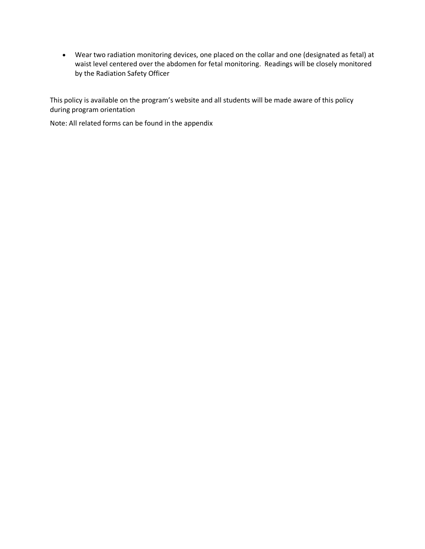• Wear two radiation monitoring devices, one placed on the collar and one (designated as fetal) at waist level centered over the abdomen for fetal monitoring. Readings will be closely monitored by the Radiation Safety Officer

This policy is available on the program's website and all students will be made aware of this policy during program orientation

Note: All related forms can be found in the appendix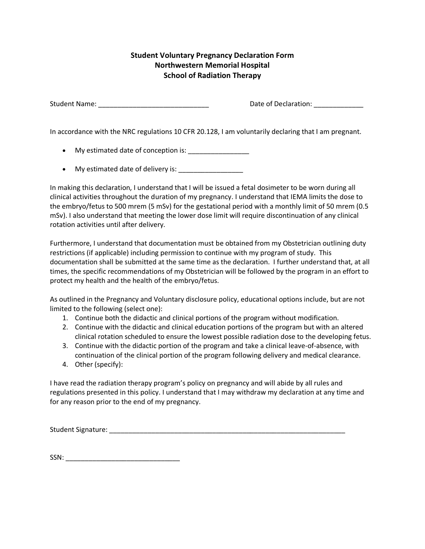# **Student Voluntary Pregnancy Declaration Form Northwestern Memorial Hospital School of Radiation Therapy**

Student Name: \_\_\_\_\_\_\_\_\_\_\_\_\_\_\_\_\_\_\_\_\_\_\_\_\_\_\_\_\_ Date of Declaration: \_\_\_\_\_\_\_\_\_\_\_\_\_

In accordance with the NRC regulations 10 CFR 20.128, I am voluntarily declaring that I am pregnant.

- My estimated date of conception is: \_\_\_\_\_\_\_\_\_\_\_\_\_\_\_\_
- My estimated date of delivery is:

In making this declaration, I understand that I will be issued a fetal dosimeter to be worn during all clinical activities throughout the duration of my pregnancy. I understand that IEMA limits the dose to the embryo/fetus to 500 mrem (5 mSv) for the gestational period with a monthly limit of 50 mrem (0.5 mSv). I also understand that meeting the lower dose limit will require discontinuation of any clinical rotation activities until after delivery.

Furthermore, I understand that documentation must be obtained from my Obstetrician outlining duty restrictions (if applicable) including permission to continue with my program of study. This documentation shall be submitted at the same time as the declaration. I further understand that, at all times, the specific recommendations of my Obstetrician will be followed by the program in an effort to protect my health and the health of the embryo/fetus.

As outlined in the Pregnancy and Voluntary disclosure policy, educational options include, but are not limited to the following (select one):

- 1. Continue both the didactic and clinical portions of the program without modification.
- 2. Continue with the didactic and clinical education portions of the program but with an altered clinical rotation scheduled to ensure the lowest possible radiation dose to the developing fetus.
- 3. Continue with the didactic portion of the program and take a clinical leave-of-absence, with continuation of the clinical portion of the program following delivery and medical clearance.
- 4. Other (specify):

I have read the radiation therapy program's policy on pregnancy and will abide by all rules and regulations presented in this policy. I understand that I may withdraw my declaration at any time and for any reason prior to the end of my pregnancy.

Student Signature: \_\_\_\_\_\_\_\_\_\_\_\_\_\_\_\_\_\_\_\_\_\_\_\_\_\_\_\_\_\_\_\_\_\_\_\_\_\_\_\_\_\_\_\_\_\_\_\_\_\_\_\_\_\_\_\_\_\_\_\_\_\_

SSN: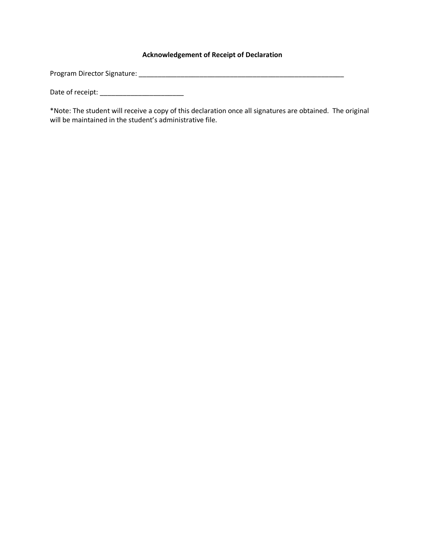## **Acknowledgement of Receipt of Declaration**

Program Director Signature: \_\_\_\_\_\_\_\_\_\_\_\_\_\_\_\_\_\_\_\_\_\_\_\_\_\_\_\_\_\_\_\_\_\_\_\_\_\_\_\_\_\_\_\_\_\_\_\_\_\_\_\_\_\_

Date of receipt: \_\_\_\_\_\_\_\_\_\_\_\_\_\_\_\_\_\_\_\_\_\_

\*Note: The student will receive a copy of this declaration once all signatures are obtained. The original will be maintained in the student's administrative file.